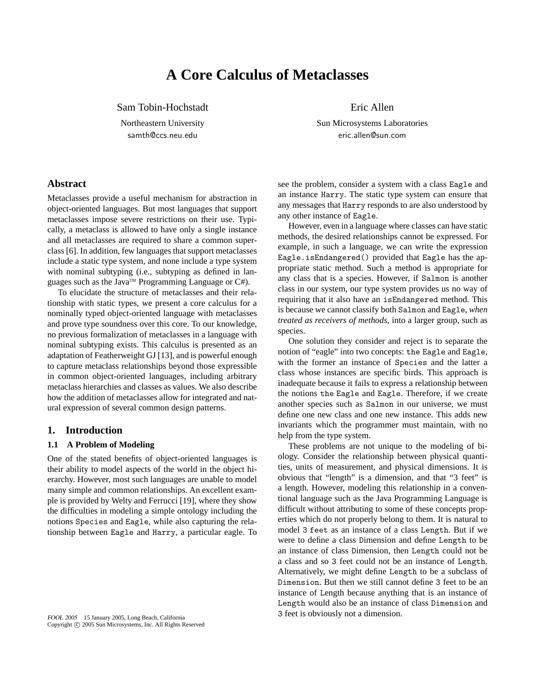# **A Core Calculus of Metaclasses**

Sam Tobin-Hochstadt

Northeastern University samth@ccs.neu.edu

Eric Allen

Sun Microsystems Laboratories eric.allen@sun.com

# **Abstract**

Metaclasses provide a useful mechanism for abstraction in object-oriented languages. But most languages that support metaclasses impose severe restrictions on their use. Typically, a metaclass is allowed to have only a single instance and all metaclasses are required to share a common superclass [6]. In addition, few languages that support metaclasses include a static type system, and none include a type system with nominal subtyping (i.e., subtyping as defined in languages such as the Java<sup>TM</sup> Programming Language or C#).

To elucidate the structure of metaclasses and their relationship with static types, we present a core calculus for a nominally typed object-oriented language with metaclasses and prove type soundness over this core. To our knowledge, no previous formalization of metaclasses in a language with nominal subtyping exists. This calculus is presented as an adaptation of Featherweight GJ [13], and is powerful enough to capture metaclass relationships beyond those expressible in common object-oriented languages, including arbitrary metaclass hierarchies and classes as values. We also describe how the addition of metaclasses allow for integrated and natural expression of several common design patterns.

#### **1. Introduction**

#### **1.1 A Problem of Modeling**

One of the stated benefits of object-oriented languages is their ability to model aspects of the world in the object hierarchy. However, most such languages are unable to model many simple and common relationships. An excellent example is provided by Welty and Ferrucci [19], where they show the difficulties in modeling a simple ontology including the notions Species and Eagle, while also capturing the relationship between Eagle and Harry, a particular eagle. To

see the problem, consider a system with a class Eagle and an instance Harry. The static type system can ensure that any messages that Harry responds to are also understood by any other instance of Eagle.

However, even in a language where classes can have static methods, the desired relationships cannot be expressed. For example, in such a language, we can write the expression Eagle.isEndangered() provided that Eagle has the appropriate static method. Such a method is appropriate for any class that is a species. However, if Salmon is another class in our system, our type system provides us no way of requiring that it also have an isEndangered method. This is because we cannot classify both Salmon and Eagle, *when treated as receivers of methods*, into a larger group, such as species.

One solution they consider and reject is to separate the notion of "eagle" into two concepts: the Eagle and Eagle, with the former an instance of Species and the latter a class whose instances are specific birds. This approach is inadequate because it fails to express a relationship between the notions the Eagle and Eagle. Therefore, if we create another species such as Salmon in our universe, we must define one new class and one new instance. This adds new invariants which the programmer must maintain, with no help from the type system.

These problems are not unique to the modeling of biology. Consider the relationship between physical quantities, units of measurement, and physical dimensions. It is obvious that "length" is a dimension, and that "3 feet" is a length. However, modeling this relationship in a conventional language such as the Java Programming Language is difficult without attributing to some of these concepts properties which do not properly belong to them. It is natural to model 3 feet as an instance of a class Length. But if we were to define a class Dimension and define Length to be an instance of class Dimension, then Length could not be a class and so 3 feet could not be an instance of Length. Alternatively, we might define Length to be a subclass of Dimension. But then we still cannot define 3 feet to be an instance of Length because anything that is an instance of Length would also be an instance of class Dimension and 3 feet is obviously not a dimension.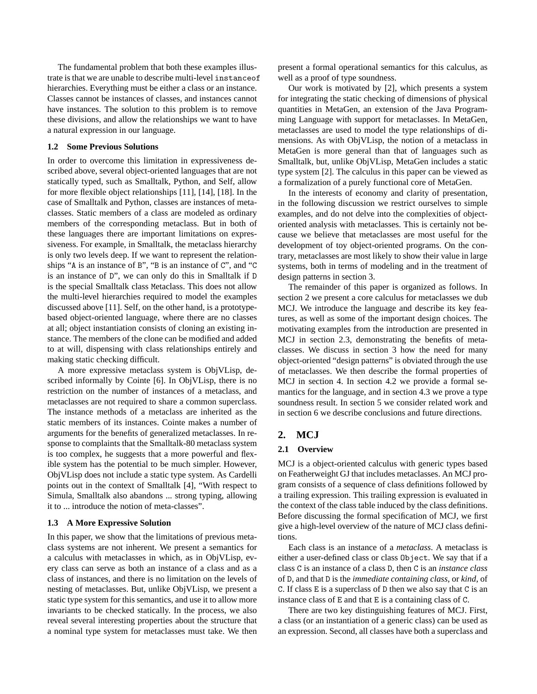The fundamental problem that both these examples illustrate is that we are unable to describe multi-level instanceof hierarchies. Everything must be either a class or an instance. Classes cannot be instances of classes, and instances cannot have instances. The solution to this problem is to remove these divisions, and allow the relationships we want to have a natural expression in our language.

### **1.2 Some Previous Solutions**

In order to overcome this limitation in expressiveness described above, several object-oriented languages that are not statically typed, such as Smalltalk, Python, and Self, allow for more flexible object relationships [11], [14], [18]. In the case of Smalltalk and Python, classes are instances of metaclasses. Static members of a class are modeled as ordinary members of the corresponding metaclass. But in both of these languages there are important limitations on expressiveness. For example, in Smalltalk, the metaclass hierarchy is only two levels deep. If we want to represent the relationships "A is an instance of B", "B is an instance of C", and "C is an instance of D", we can only do this in Smalltalk if D is the special Smalltalk class Metaclass. This does not allow the multi-level hierarchies required to model the examples discussed above [11]. Self, on the other hand, is a prototypebased object-oriented language, where there are no classes at all; object instantiation consists of cloning an existing instance. The members of the clone can be modified and added to at will, dispensing with class relationships entirely and making static checking difficult.

A more expressive metaclass system is ObjVLisp, described informally by Cointe [6]. In ObjVLisp, there is no restriction on the number of instances of a metaclass, and metaclasses are not required to share a common superclass. The instance methods of a metaclass are inherited as the static members of its instances. Cointe makes a number of arguments for the benefits of generalized metaclasses. In response to complaints that the Smalltalk-80 metaclass system is too complex, he suggests that a more powerful and flexible system has the potential to be much simpler. However, ObjVLisp does not include a static type system. As Cardelli points out in the context of Smalltalk [4], "With respect to Simula, Smalltalk also abandons ... strong typing, allowing it to ... introduce the notion of meta-classes".

#### **1.3 A More Expressive Solution**

In this paper, we show that the limitations of previous metaclass systems are not inherent. We present a semantics for a calculus with metaclasses in which, as in ObjVLisp, every class can serve as both an instance of a class and as a class of instances, and there is no limitation on the levels of nesting of metaclasses. But, unlike ObjVLisp, we present a static type system for this semantics, and use it to allow more invariants to be checked statically. In the process, we also reveal several interesting properties about the structure that a nominal type system for metaclasses must take. We then present a formal operational semantics for this calculus, as well as a proof of type soundness.

Our work is motivated by [2], which presents a system for integrating the static checking of dimensions of physical quantities in MetaGen, an extension of the Java Programming Language with support for metaclasses. In MetaGen, metaclasses are used to model the type relationships of dimensions. As with ObjVLisp, the notion of a metaclass in MetaGen is more general than that of languages such as Smalltalk, but, unlike ObjVLisp, MetaGen includes a static type system [2]. The calculus in this paper can be viewed as a formalization of a purely functional core of MetaGen.

In the interests of economy and clarity of presentation, in the following discussion we restrict ourselves to simple examples, and do not delve into the complexities of objectoriented analysis with metaclasses. This is certainly not because we believe that metaclasses are most useful for the development of toy object-oriented programs. On the contrary, metaclasses are most likely to show their value in large systems, both in terms of modeling and in the treatment of design patterns in section 3.

The remainder of this paper is organized as follows. In section 2 we present a core calculus for metaclasses we dub MCJ. We introduce the language and describe its key features, as well as some of the important design choices. The motivating examples from the introduction are presented in MCJ in section 2.3, demonstrating the benefits of metaclasses. We discuss in section 3 how the need for many object-oriented "design patterns" is obviated through the use of metaclasses. We then describe the formal properties of MCJ in section 4. In section 4.2 we provide a formal semantics for the language, and in section 4.3 we prove a type soundness result. In section 5 we consider related work and in section 6 we describe conclusions and future directions.

#### **2. MCJ**

#### **2.1 Overview**

MCJ is a object-oriented calculus with generic types based on Featherweight GJ that includes metaclasses. An MCJ program consists of a sequence of class definitions followed by a trailing expression. This trailing expression is evaluated in the context of the class table induced by the class definitions. Before discussing the formal specification of MCJ, we first give a high-level overview of the nature of MCJ class definitions.

Each class is an instance of a *metaclass*. A metaclass is either a user-defined class or class Object. We say that if a class C is an instance of a class D, then C is an *instance class* of D, and that D is the *immediate containing class*, or *kind*, of C. If class E is a superclass of D then we also say that C is an instance class of E and that E is a containing class of C.

There are two key distinguishing features of MCJ. First, a class (or an instantiation of a generic class) can be used as an expression. Second, all classes have both a superclass and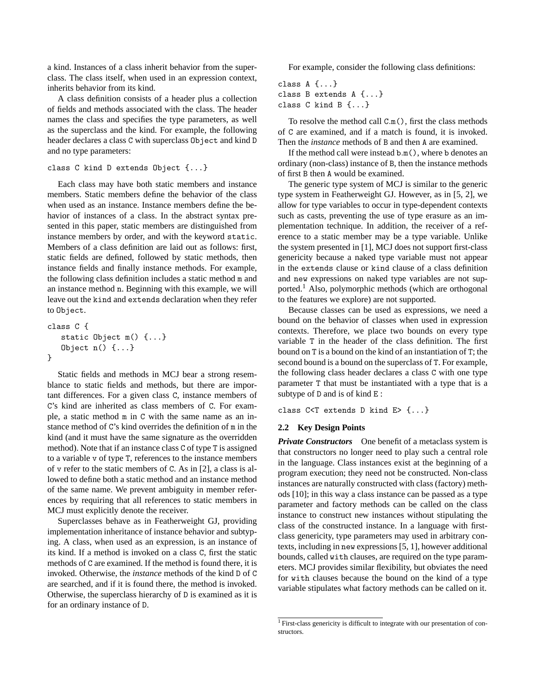a kind. Instances of a class inherit behavior from the superclass. The class itself, when used in an expression context, inherits behavior from its kind.

A class definition consists of a header plus a collection of fields and methods associated with the class. The header names the class and specifies the type parameters, as well as the superclass and the kind. For example, the following header declares a class C with superclass Object and kind D and no type parameters:

```
class C kind D extends Object {...}
```
Each class may have both static members and instance members. Static members define the behavior of the class when used as an instance. Instance members define the behavior of instances of a class. In the abstract syntax presented in this paper, static members are distinguished from instance members by order, and with the keyword static. Members of a class definition are laid out as follows: first, static fields are defined, followed by static methods, then instance fields and finally instance methods. For example, the following class definition includes a static method m and an instance method n. Beginning with this example, we will leave out the kind and extends declaration when they refer to Object.

```
class C {
   static Object m() {...}
   Object n() {...}
}
```
Static fields and methods in MCJ bear a strong resemblance to static fields and methods, but there are important differences. For a given class C, instance members of C's kind are inherited as class members of C. For example, a static method m in C with the same name as an instance method of C's kind overrides the definition of m in the kind (and it must have the same signature as the overridden method). Note that if an instance class C of type T is assigned to a variable v of type T, references to the instance members of v refer to the static members of C. As in [2], a class is allowed to define both a static method and an instance method of the same name. We prevent ambiguity in member references by requiring that all references to static members in MCJ must explicitly denote the receiver.

Superclasses behave as in Featherweight GJ, providing implementation inheritance of instance behavior and subtyping. A class, when used as an expression, is an instance of its kind. If a method is invoked on a class C, first the static methods of C are examined. If the method is found there, it is invoked. Otherwise, the *instance* methods of the kind D of C are searched, and if it is found there, the method is invoked. Otherwise, the superclass hierarchy of D is examined as it is for an ordinary instance of D.

For example, consider the following class definitions:

class A {...} class B extends A {...} class C kind B {...}

To resolve the method call C.m(), first the class methods of C are examined, and if a match is found, it is invoked. Then the *instance* methods of B and then A are examined.

If the method call were instead b.m(), where b denotes an ordinary (non-class) instance of B, then the instance methods of first B then A would be examined.

The generic type system of MCJ is similar to the generic type system in Featherweight GJ. However, as in [5, 2], we allow for type variables to occur in type-dependent contexts such as casts, preventing the use of type erasure as an implementation technique. In addition, the receiver of a reference to a static member may be a type variable. Unlike the system presented in [1], MCJ does not support first-class genericity because a naked type variable must not appear in the extends clause or kind clause of a class definition and new expressions on naked type variables are not supported.<sup>1</sup> Also, polymorphic methods (which are orthogonal to the features we explore) are not supported.

Because classes can be used as expressions, we need a bound on the behavior of classes when used in expression contexts. Therefore, we place two bounds on every type variable T in the header of the class definition. The first bound on T is a bound on the kind of an instantiation of T; the second bound is a bound on the superclass of T. For example, the following class header declares a class C with one type parameter T that must be instantiated with a type that is a subtype of D and is of kind E :

class C<T extends D kind E> {...}

#### **2.2 Key Design Points**

*Private Constructors* One benefit of a metaclass system is that constructors no longer need to play such a central role in the language. Class instances exist at the beginning of a program execution; they need not be constructed. Non-class instances are naturally constructed with class (factory) methods [10]; in this way a class instance can be passed as a type parameter and factory methods can be called on the class instance to construct new instances without stipulating the class of the constructed instance. In a language with firstclass genericity, type parameters may used in arbitrary contexts, including in new expressions [5, 1], however additional bounds, called with clauses, are required on the type parameters. MCJ provides similar flexibility, but obviates the need for with clauses because the bound on the kind of a type variable stipulates what factory methods can be called on it.

<sup>1</sup> First-class genericity is difficult to integrate with our presentation of constructors.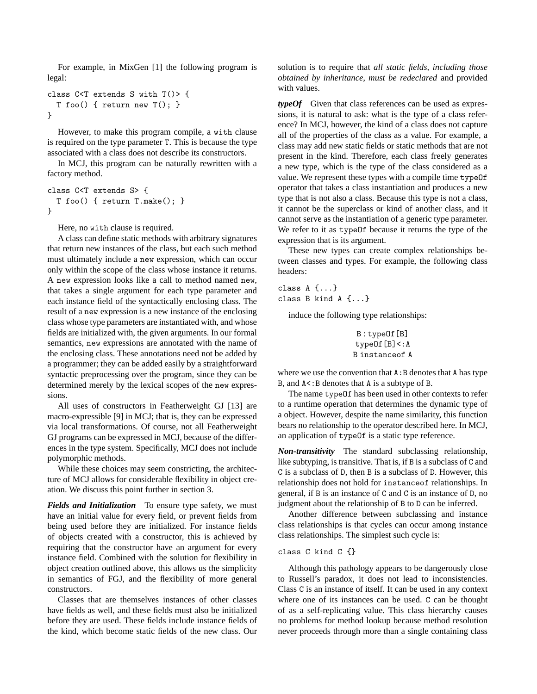For example, in MixGen [1] the following program is legal:

```
class C<T extends S with T()> {
  T foo() { return new T(); }
}
```
However, to make this program compile, a with clause is required on the type parameter T. This is because the type associated with a class does not describe its constructors.

In MCJ, this program can be naturally rewritten with a factory method.

```
class C<T extends S> {
  T foo() { return T.make(); }
}
```
Here, no with clause is required.

A class can define static methods with arbitrary signatures that return new instances of the class, but each such method must ultimately include a new expression, which can occur only within the scope of the class whose instance it returns. A new expression looks like a call to method named new, that takes a single argument for each type parameter and each instance field of the syntactically enclosing class. The result of a new expression is a new instance of the enclosing class whose type parameters are instantiated with, and whose fields are initialized with, the given arguments. In our formal semantics, new expressions are annotated with the name of the enclosing class. These annotations need not be added by a programmer; they can be added easily by a straightforward syntactic preprocessing over the program, since they can be determined merely by the lexical scopes of the new expressions.

All uses of constructors in Featherweight GJ [13] are macro-expressible [9] in MCJ; that is, they can be expressed via local transformations. Of course, not all Featherweight GJ programs can be expressed in MCJ, because of the differences in the type system. Specifically, MCJ does not include polymorphic methods.

While these choices may seem constricting, the architecture of MCJ allows for considerable flexibility in object creation. We discuss this point further in section 3.

*Fields and Initialization* To ensure type safety, we must have an initial value for every field, or prevent fields from being used before they are initialized. For instance fields of objects created with a constructor, this is achieved by requiring that the constructor have an argument for every instance field. Combined with the solution for flexibility in object creation outlined above, this allows us the simplicity in semantics of FGJ, and the flexibility of more general constructors.

Classes that are themselves instances of other classes have fields as well, and these fields must also be initialized before they are used. These fields include instance fields of the kind, which become static fields of the new class. Our solution is to require that *all static fields, including those obtained by inheritance, must be redeclared* and provided with values.

*typeOf* Given that class references can be used as expressions, it is natural to ask: what is the type of a class reference? In MCJ, however, the kind of a class does not capture all of the properties of the class as a value. For example, a class may add new static fields or static methods that are not present in the kind. Therefore, each class freely generates a new type, which is the type of the class considered as a value. We represent these types with a compile time typeOf operator that takes a class instantiation and produces a new type that is not also a class. Because this type is not a class, it cannot be the superclass or kind of another class, and it cannot serve as the instantiation of a generic type parameter. We refer to it as typeOf because it returns the type of the expression that is its argument.

These new types can create complex relationships between classes and types. For example, the following class headers:

class A {...} class B kind A {...}

induce the following type relationships:

```
B : typeOf[B]
typeOf[B]<:A
B instanceof A
```
where we use the convention that  $A : B$  denotes that A has type B, and  $A \leq B$  denotes that A is a subtype of B.

The name typeOf has been used in other contexts to refer to a runtime operation that determines the dynamic type of a object. However, despite the name similarity, this function bears no relationship to the operator described here. In MCJ, an application of typeOf is a static type reference.

*Non-transitivity* The standard subclassing relationship, like subtyping, is transitive. That is, if B is a subclass of C and C is a subclass of D, then B is a subclass of D. However, this relationship does not hold for instanceof relationships. In general, if B is an instance of C and C is an instance of D, no judgment about the relationship of B to D can be inferred.

Another difference between subclassing and instance class relationships is that cycles can occur among instance class relationships. The simplest such cycle is:

#### class C kind C {}

Although this pathology appears to be dangerously close to Russell's paradox, it does not lead to inconsistencies. Class C is an instance of itself. It can be used in any context where one of its instances can be used. C can be thought of as a self-replicating value. This class hierarchy causes no problems for method lookup because method resolution never proceeds through more than a single containing class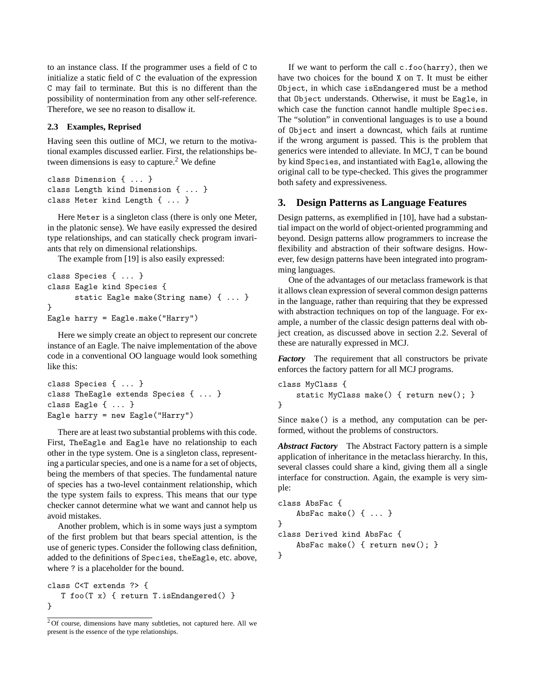to an instance class. If the programmer uses a field of C to initialize a static field of C the evaluation of the expression C may fail to terminate. But this is no different than the possibility of nontermination from any other self-reference. Therefore, we see no reason to disallow it.

#### **2.3 Examples, Reprised**

Having seen this outline of MCJ, we return to the motivational examples discussed earlier. First, the relationships between dimensions is easy to capture.<sup>2</sup> We define

```
class Dimension { ... }
class Length kind Dimension { ... }
class Meter kind Length { ... }
```
Here Meter is a singleton class (there is only one Meter, in the platonic sense). We have easily expressed the desired type relationships, and can statically check program invariants that rely on dimensional relationships.

The example from [19] is also easily expressed:

```
class Species { ... }
class Eagle kind Species {
      static Eagle make(String name) { ... }
}
Eagle harry = Eagle.make("Harry")
```
Here we simply create an object to represent our concrete instance of an Eagle. The naive implementation of the above code in a conventional OO language would look something like this:

```
class Species { ... }
class TheEagle extends Species { ... }
class Eagle { ... }
Eagle harry = new Eagle("Harry")
```
There are at least two substantial problems with this code. First, TheEagle and Eagle have no relationship to each other in the type system. One is a singleton class, representing a particular species, and one is a name for a set of objects, being the members of that species. The fundamental nature of species has a two-level containment relationship, which the type system fails to express. This means that our type checker cannot determine what we want and cannot help us avoid mistakes.

Another problem, which is in some ways just a symptom of the first problem but that bears special attention, is the use of generic types. Consider the following class definition, added to the definitions of Species, theEagle, etc. above, where ? is a placeholder for the bound.

```
class C<T extends ?> {
   T foo(T x) { return T.isEndangered() }
}
```
If we want to perform the call c.foo(harry), then we have two choices for the bound X on T. It must be either Object, in which case isEndangered must be a method that Object understands. Otherwise, it must be Eagle, in which case the function cannot handle multiple Species. The "solution" in conventional languages is to use a bound of Object and insert a downcast, which fails at runtime if the wrong argument is passed. This is the problem that generics were intended to alleviate. In MCJ, T can be bound by kind Species, and instantiated with Eagle, allowing the original call to be type-checked. This gives the programmer both safety and expressiveness.

# **3. Design Patterns as Language Features**

Design patterns, as exemplified in [10], have had a substantial impact on the world of object-oriented programming and beyond. Design patterns allow programmers to increase the flexibility and abstraction of their software designs. However, few design patterns have been integrated into programming languages.

One of the advantages of our metaclass framework is that it allows clean expression of several common design patterns in the language, rather than requiring that they be expressed with abstraction techniques on top of the language. For example, a number of the classic design patterns deal with object creation, as discussed above in section 2.2. Several of these are naturally expressed in MCJ.

*Factory* The requirement that all constructors be private enforces the factory pattern for all MCJ programs.

```
class MyClass {
    static MyClass make() { return new(); }
}
```
Since make() is a method, any computation can be performed, without the problems of constructors.

*Abstract Factory* The Abstract Factory pattern is a simple application of inheritance in the metaclass hierarchy. In this, several classes could share a kind, giving them all a single interface for construction. Again, the example is very simple:

```
class AbsFac {
    AbsFac make() { ... }
}
class Derived kind AbsFac {
    AbsFac make() { return new(); }
}
```
 $20f$  course, dimensions have many subtleties, not captured here. All we present is the essence of the type relationships.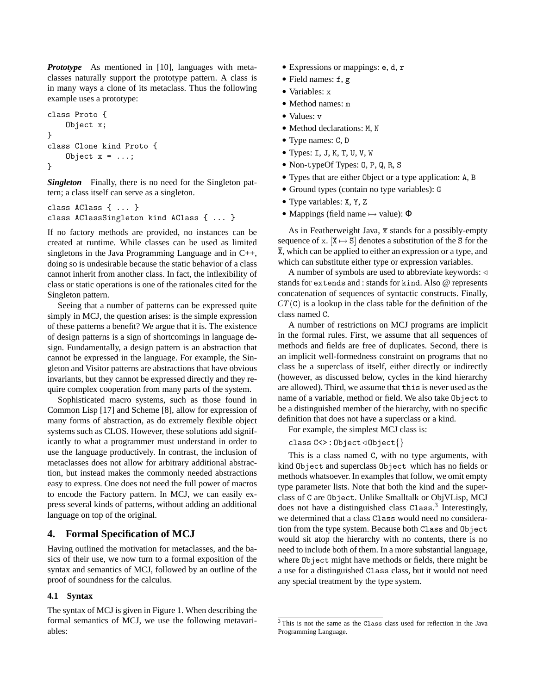*Prototype* As mentioned in [10], languages with metaclasses naturally support the prototype pattern. A class is in many ways a clone of its metaclass. Thus the following example uses a prototype:

```
class Proto {
    Object x;
}
class Clone kind Proto {
    Object x = ...;}
```
*Singleton* Finally, there is no need for the Singleton pattern; a class itself can serve as a singleton.

```
class AClass { ... }
class AClassSingleton kind AClass { ... }
```
If no factory methods are provided, no instances can be created at runtime. While classes can be used as limited singletons in the Java Programming Language and in C++, doing so is undesirable because the static behavior of a class cannot inherit from another class. In fact, the inflexibility of class or static operations is one of the rationales cited for the Singleton pattern.

Seeing that a number of patterns can be expressed quite simply in MCJ, the question arises: is the simple expression of these patterns a benefit? We argue that it is. The existence of design patterns is a sign of shortcomings in language design. Fundamentally, a design pattern is an abstraction that cannot be expressed in the language. For example, the Singleton and Visitor patterns are abstractions that have obvious invariants, but they cannot be expressed directly and they require complex cooperation from many parts of the system.

Sophisticated macro systems, such as those found in Common Lisp [17] and Scheme [8], allow for expression of many forms of abstraction, as do extremely flexible object systems such as CLOS. However, these solutions add significantly to what a programmer must understand in order to use the language productively. In contrast, the inclusion of metaclasses does not allow for arbitrary additional abstraction, but instead makes the commonly needed abstractions easy to express. One does not need the full power of macros to encode the Factory pattern. In MCJ, we can easily express several kinds of patterns, without adding an additional language on top of the original.

# **4. Formal Specification of MCJ**

Having outlined the motivation for metaclasses, and the basics of their use, we now turn to a formal exposition of the syntax and semantics of MCJ, followed by an outline of the proof of soundness for the calculus.

#### **4.1 Syntax**

The syntax of MCJ is given in Figure 1. When describing the formal semantics of MCJ, we use the following metavariables:

- Expressions or mappings: e, d, r
- Field names: f, g
- Variables: x
- Method names: m
- Values: v
- Method declarations: M, N
- Type names: C, D
- $\bullet$  Types: I, J, K, T, U, V, W
- Non-typeOf Types: O, P, Q, R, S
- Types that are either Object or a type application: A, B
- Ground types (contain no type variables): G
- Type variables: X, Y, Z
- Mappings (field name  $\mapsto$  value):  $\Phi$

As in Featherweight Java,  $\bar{x}$  stands for a possibly-empty sequence of x.  $[\overline{X} \mapsto \overline{S}]$  denotes a substitution of the  $\overline{S}$  for the  $\overline{X}$ , which can be applied to either an expression or a type, and which can substitute either type or expression variables.

A number of symbols are used to abbreviate keywords:  $\triangleleft$ stands for extends and : stands for kind. Also @ represents concatenation of sequences of syntactic constructs. Finally, *CT*(C) is a lookup in the class table for the definition of the class named C.

A number of restrictions on MCJ programs are implicit in the formal rules. First, we assume that all sequences of methods and fields are free of duplicates. Second, there is an implicit well-formedness constraint on programs that no class be a superclass of itself, either directly or indirectly (however, as discussed below, cycles in the kind hierarchy are allowed). Third, we assume that this is never used as the name of a variable, method or field. We also take Object to be a distinguished member of the hierarchy, with no specific definition that does not have a superclass or a kind.

For example, the simplest MCJ class is:

class  $C \Leftrightarrow$  : Object  $\triangleleft$  Object $\{\}$ 

This is a class named C, with no type arguments, with kind Object and superclass Object which has no fields or methods whatsoever. In examples that follow, we omit empty type parameter lists. Note that both the kind and the superclass of C are Object. Unlike Smalltalk or ObjVLisp, MCJ does not have a distinguished class Class.<sup>3</sup> Interestingly, we determined that a class Class would need no consideration from the type system. Because both Class and Object would sit atop the hierarchy with no contents, there is no need to include both of them. In a more substantial language, where Object might have methods or fields, there might be a use for a distinguished Class class, but it would not need any special treatment by the type system.

 $3$ This is not the same as the Class class used for reflection in the Java Programming Language.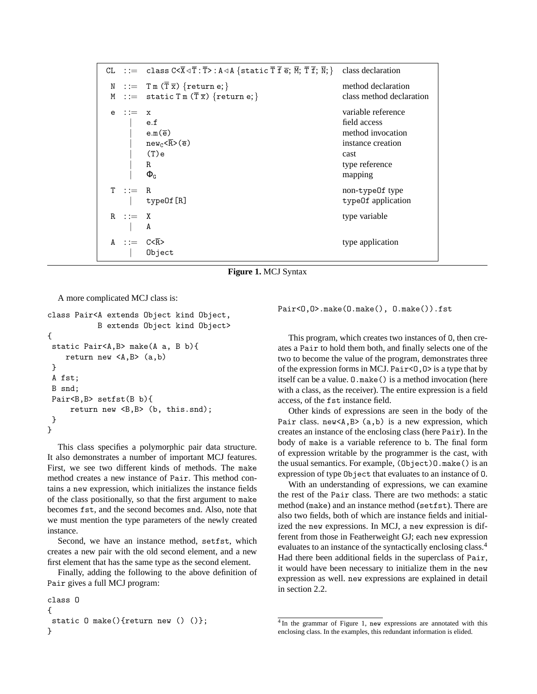|               | CL ::= class $C < \overline{X} \triangleleft \overline{T} : \overline{T} > : A \triangleleft A$ {static $\overline{T} \overline{T} \overline{e}; \overline{M}; \overline{T} \overline{T}; \overline{N};$ } | class declaration        |  |
|---------------|------------------------------------------------------------------------------------------------------------------------------------------------------------------------------------------------------------|--------------------------|--|
|               | $N := T m (\overline{T} \overline{x}) \{return e; \}$                                                                                                                                                      | method declaration       |  |
|               | M ::= static $T m (\overline{T} \overline{x})$ {return e; }                                                                                                                                                | class method declaration |  |
| $e$ : $:=$    | $\mathbf x$                                                                                                                                                                                                | variable reference       |  |
|               | e.f                                                                                                                                                                                                        | field access             |  |
|               | $e.m(\overline{e})$                                                                                                                                                                                        | method invocation        |  |
|               | $new_c \overline{R}>(\overline{e})$                                                                                                                                                                        | instance creation        |  |
|               | (T)e                                                                                                                                                                                                       | cast                     |  |
|               | R                                                                                                                                                                                                          | type reference           |  |
|               | $\Phi_{\texttt{G}}$                                                                                                                                                                                        | mapping                  |  |
| $T : := R$    |                                                                                                                                                                                                            | non-type0f type          |  |
|               | type0f [R]                                                                                                                                                                                                 | type0f application       |  |
| $R : := X$    |                                                                                                                                                                                                            | type variable            |  |
|               | A                                                                                                                                                                                                          |                          |  |
| A ::= $C < R$ |                                                                                                                                                                                                            | type application         |  |
|               | Object                                                                                                                                                                                                     |                          |  |

**Figure 1.** MCJ Syntax

A more complicated MCJ class is:

```
class Pair<A extends Object kind Object,
           B extends Object kind Object>
{
 static Pair<A,B> make(A a, B b){
    return new <A,B> (a,b)
 }
A fst;
 B snd;
Pair<B, B> setfst(B b){
     return new <B, B> (b, this.snd);
 }
}
```
This class specifies a polymorphic pair data structure. It also demonstrates a number of important MCJ features. First, we see two different kinds of methods. The make method creates a new instance of Pair. This method contains a new expression, which initializes the instance fields of the class positionally, so that the first argument to make becomes fst, and the second becomes snd. Also, note that we must mention the type parameters of the newly created instance.

Second, we have an instance method, setfst, which creates a new pair with the old second element, and a new first element that has the same type as the second element.

Finally, adding the following to the above definition of Pair gives a full MCJ program:

```
class O
{
static 0 make(){return new () ()};
}
```
Pair<0,0>.make(0.make(), 0.make()).fst

This program, which creates two instances of O, then creates a Pair to hold them both, and finally selects one of the two to become the value of the program, demonstrates three of the expression forms in MCJ. Pair $\langle 0, 0 \rangle$  is a type that by itself can be a value. O.make() is a method invocation (here with a class, as the receiver). The entire expression is a field access, of the fst instance field.

Other kinds of expressions are seen in the body of the Pair class. new<A,  $B$ > (a, b) is a new expression, which creates an instance of the enclosing class (here Pair). In the body of make is a variable reference to b. The final form of expression writable by the programmer is the cast, with the usual semantics. For example, (Object)O.make() is an expression of type Object that evaluates to an instance of O.

With an understanding of expressions, we can examine the rest of the Pair class. There are two methods: a static method (make) and an instance method (setfst). There are also two fields, both of which are instance fields and initialized the new expressions. In MCJ, a new expression is different from those in Featherweight GJ; each new expression evaluates to an instance of the syntactically enclosing class.<sup>4</sup> Had there been additional fields in the superclass of Pair, it would have been necessary to initialize them in the new expression as well. new expressions are explained in detail in section 2.2.

<sup>&</sup>lt;sup>4</sup> In the grammar of Figure 1, new expressions are annotated with this enclosing class. In the examples, this redundant information is elided.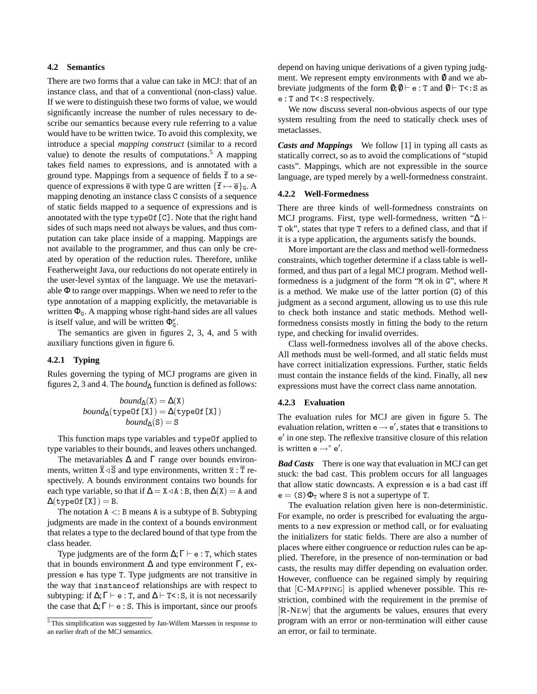#### **4.2 Semantics**

There are two forms that a value can take in MCJ: that of an instance class, and that of a conventional (non-class) value. If we were to distinguish these two forms of value, we would significantly increase the number of rules necessary to describe our semantics because every rule referring to a value would have to be written twice. To avoid this complexity, we introduce a special *mapping construct* (similar to a record value) to denote the results of computations.<sup>5</sup> A mapping takes field names to expressions, and is annotated with a ground type. Mappings from a sequence of fields  $\overline{f}$  to a sequence of expressions  $\overline{e}$  with type G are written  $\{\overline{f} \mapsto \overline{e}\}_G$ . A mapping denoting an instance class C consists of a sequence of static fields mapped to a sequence of expressions and is annotated with the type typeOf[C]. Note that the right hand sides of such maps need not always be values, and thus computation can take place inside of a mapping. Mappings are not available to the programmer, and thus can only be created by operation of the reduction rules. Therefore, unlike Featherweight Java, our reductions do not operate entirely in the user-level syntax of the language. We use the metavariable Φ to range over mappings. When we need to refer to the type annotation of a mapping explicitly, the metavariable is written  $\Phi_{\text{G}}$ . A mapping whose right-hand sides are all values is itself value, and will be written  $\Phi_{\mathcal{G}}^{\nu}$ .

The semantics are given in figures 2, 3, 4, and 5 with auxiliary functions given in figure 6.

#### **4.2.1 Typing**

Rules governing the typing of MCJ programs are given in figures 2, 3 and 4. The *bound*<sup>∆</sup> function is defined as follows:

$$
bound_{\Delta}(X) = \Delta(X)
$$
  
bound<sub>\Delta</sub>(typeOf [X]) =  $\Delta$ (typeOf [X])  
bound<sub>\Delta</sub>(S) = S

This function maps type variables and typeOf applied to type variables to their bounds, and leaves others unchanged.

The metavariables  $\Delta$  and  $\Gamma$  range over bounds environments, written  $\overline{X} \triangleleft \overline{S}$  and type environments, written  $\overline{x}$ :  $\overline{T}$  respectively. A bounds environment contains two bounds for each type variable, so that if  $\Delta = X \triangleleft A : B$ , then  $\Delta(X) = A$  and  $\Delta$ (typeOf[X]) = B.

The notation  $A \leq B$  means A is a subtype of B. Subtyping judgments are made in the context of a bounds environment that relates a type to the declared bound of that type from the class header.

Type judgments are of the form  $\Delta; \Gamma \vdash e : T$ , which states that in bounds environment  $Δ$  and type environment Γ, expression e has type T. Type judgments are not transitive in the way that instanceof relationships are with respect to subtyping: if  $\Delta; \Gamma \vdash e : T$ , and  $\Delta \vdash T \lt : S$ , it is not necessarily the case that  $\Delta; \Gamma \vdash e : S$ . This is important, since our proofs

depend on having unique derivations of a given typing judgment. We represent empty environments with  $\theta$  and we abbreviate judgments of the form  $\emptyset$ ;  $\emptyset \vdash e : T$  and  $\emptyset \vdash T \leq S$  as e : T and T<:S respectively.

We now discuss several non-obvious aspects of our type system resulting from the need to statically check uses of metaclasses.

*Casts and Mappings* We follow [1] in typing all casts as statically correct, so as to avoid the complications of "stupid casts". Mappings, which are not expressible in the source language, are typed merely by a well-formedness constraint.

#### **4.2.2 Well-Formedness**

There are three kinds of well-formedness constraints on MCJ programs. First, type well-formedness, written " $\Delta \vdash$ T ok", states that type T refers to a defined class, and that if it is a type application, the arguments satisfy the bounds.

More important are the class and method well-formedness constraints, which together determine if a class table is wellformed, and thus part of a legal MCJ program. Method wellformedness is a judgment of the form "M ok in G", where M is a method. We make use of the latter portion (G) of this judgment as a second argument, allowing us to use this rule to check both instance and static methods. Method wellformedness consists mostly in fitting the body to the return type, and checking for invalid overrides.

Class well-formedness involves all of the above checks. All methods must be well-formed, and all static fields must have correct initialization expressions. Further, static fields must contain the instance fields of the kind. Finally, all new expressions must have the correct class name annotation.

#### **4.2.3 Evaluation**

The evaluation rules for MCJ are given in figure 5. The evaluation relation, written  $e \rightarrow e'$ , states that e transitions to e 0 in one step. The reflexive transitive closure of this relation is written  $e \rightarrow^* e'$ .

*Bad Casts* There is one way that evaluation in MCJ can get stuck: the bad cast. This problem occurs for all languages that allow static downcasts. A expression e is a bad cast iff  $e = (S) \Phi_T$  where S is not a supertype of T.

The evaluation relation given here is non-deterministic. For example, no order is prescribed for evaluating the arguments to a new expression or method call, or for evaluating the initializers for static fields. There are also a number of places where either congruence or reduction rules can be applied. Therefore, in the presence of non-termination or bad casts, the results may differ depending on evaluation order. However, confluence can be regained simply by requiring that [C-MAPPING] is applied whenever possible. This restriction, combined with the requirement in the premise of [R-NEW] that the arguments be values, ensures that every program with an error or non-termination will either cause an error, or fail to terminate.

 $5$ This simplification was suggested by Jan-Willem Maessen in response to an earlier draft of the MCJ semantics.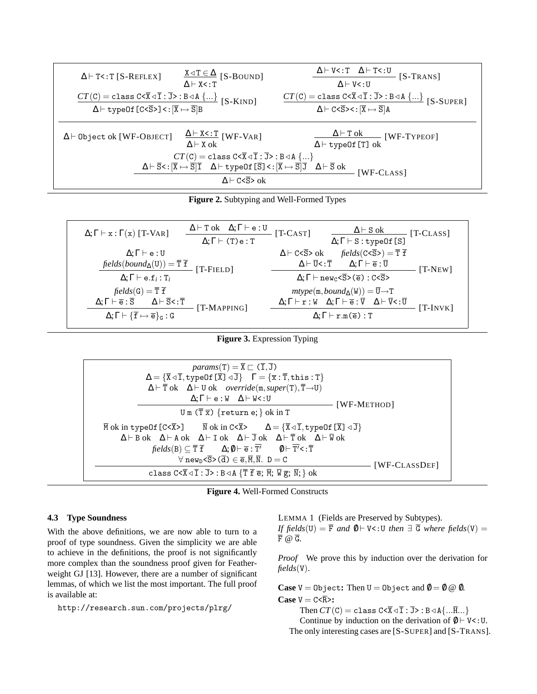| $\Delta$ $\vdash$ T<: T [S-REFLEX]                                                                                                                                                                                                                                                                                                                                                                                                                                            | $X \triangleleft T \in \Delta$ [S-BOUND]<br>$\Delta \vdash X \le T$ | $\Delta$ + V<: T $\Delta$ + T<: U [S-TRANS]<br>$\Delta \vdash V \le U$                                                                                                                              |  |  |
|-------------------------------------------------------------------------------------------------------------------------------------------------------------------------------------------------------------------------------------------------------------------------------------------------------------------------------------------------------------------------------------------------------------------------------------------------------------------------------|---------------------------------------------------------------------|-----------------------------------------------------------------------------------------------------------------------------------------------------------------------------------------------------|--|--|
| $\frac{CT(C) = \texttt{class } C \texttt{<} \overline{X} \triangleleft \overline{I} : \overline{J} \texttt{> : } B \triangleleft A \ \{ \dots \}}{\Delta \vdash \texttt{typeOf } [C \texttt{<} \overline{S} \texttt{>}] < : [\overline{X} \mapsto \overline{S}] B} \ [S \texttt{-}KIND]$                                                                                                                                                                                      |                                                                     | $CT(C) = \text{class } C \le \overline{X} \triangleleft \overline{I} : \overline{J} > B \triangleleft A \{\}$ [S-SUPER]<br>$\Delta \vdash C \leq S \ltimes : [\overline{X} \mapsto \overline{S}] A$ |  |  |
| $\Delta \vdash$ Object ok [WF-OBJECT]                                                                                                                                                                                                                                                                                                                                                                                                                                         | $\Delta$ + X < : T [WF-VAR]<br>$\Delta \vdash X$ ok                 | $\Delta$ + T ok [WF-TYPEOF]<br>$\overline{\Delta \vdash \text{typeOf}[T]}$ ok                                                                                                                       |  |  |
| $CT(C) = \text{class } C \le \overline{X} \triangleleft \overline{I} : \overline{J} > B \triangleleft A \{\}$<br>$\Delta \vdash \overline{\mathbf{S}}\texttt{<}: [\overline{\mathbf{X}} \mapsto \overline{\mathbf{S}}] \overline{\mathbf{I}} \quad \Delta \vdash \texttt{typeOf} \; [\overline{\mathbf{S}}] \texttt{<}: [\overline{\mathbf{X}} \mapsto \overline{\mathbf{S}}] \overline{\mathbf{J}} \quad \Delta \vdash \overline{\mathbf{S}} \; \texttt{ok}$<br>$[WF-CLASS]$ |                                                                     |                                                                                                                                                                                                     |  |  |
| $\Delta \vdash C < \overline{S} > \text{ok}$                                                                                                                                                                                                                                                                                                                                                                                                                                  |                                                                     |                                                                                                                                                                                                     |  |  |



| $\Delta \vdash T$ ok $\Delta; \Gamma \vdash e : U$<br>$\Delta; \Gamma \vdash x : \Gamma(x)$ [T-VAR]<br>$\Delta; \Gamma \vdash (\mathtt{T}) \mathtt{e} : \mathtt{T}$                                                                                                            | $\Delta \vdash$ S ok<br>$[T-CAST]$<br>$[T-CLASS]$<br>$\Delta; \Gamma \vdash S : typeOf[S]$                                                                                                                                                                                                                                          |
|--------------------------------------------------------------------------------------------------------------------------------------------------------------------------------------------------------------------------------------------------------------------------------|-------------------------------------------------------------------------------------------------------------------------------------------------------------------------------------------------------------------------------------------------------------------------------------------------------------------------------------|
| $\Delta; \Gamma \vdash e : U$<br>$\text{fields}(bound_{\Delta}(U)) = \overline{T} \ \overline{f}$<br>$[T-FIELD]$<br>$\Delta; \Gamma \vdash e.f_i : T_i$                                                                                                                        | $fields(C<\overline{S}>) = \overline{T} \ \overline{f}$<br>$\Delta \vdash C < \overline{S} > \alpha k$<br>$\Delta \vdash \overline{U} \leq : \overline{T} \qquad \Delta; \Gamma \vdash \overline{e} : \overline{U}$<br>$[T-NEW]$<br>$\Delta; \Gamma \vdash \text{new}_{C} \le \overline{S} > (\overline{e}) : C \le \overline{S} >$ |
| $fields(G) = \overline{T} \ \overline{f}$<br>$\Delta; \Gamma \vdash \overline{e} : \overline{S}$ $\Delta \vdash \overline{S} \lt : \overline{T}$<br>[T-MAPPING]<br>$\Delta; \Gamma \vdash {\{\overline{\mathbf{f}}} \mapsto \overline{\mathbf{e}}\}_{\mathbf{G}} : \mathbf{G}$ | $mtype(m, bound_{\Delta}(W)) = \overline{U} \rightarrow T$<br>$\Delta;\Gamma\vdash \mathtt{r}:\mathtt{W}\quad \Delta;\Gamma\vdash\overline{\mathtt{e}}:\overline{\mathtt{V}}\quad \Delta\vdash\overline{\mathtt{V}}\texttt{<}:\overline{\mathtt{U}}$<br>$[T-INVK]$<br>$\Delta: \Gamma \vdash r.m(\overline{e}) : T$                 |

**Figure 3.** Expression Typing

| $params(T) = \overline{X} \sqsubset (\overline{I}, \overline{J})$<br>$\Delta = {\overline{X} \triangleleft \overline{I}, \text{typeOf}[\overline{X}] \triangleleft \overline{J}}$ $\Gamma = {\overline{x} : \overline{T}, \text{this} : T}$                                                                                                                                 |  |  |
|-----------------------------------------------------------------------------------------------------------------------------------------------------------------------------------------------------------------------------------------------------------------------------------------------------------------------------------------------------------------------------|--|--|
| $\Delta \vdash \overline{T}$ ok $\Delta \vdash U$ ok <i>override</i> (m, <i>super</i> (T), $\overline{T} \rightarrow U$ )<br>$\Delta; \Gamma \vdash e : W \quad \Delta \vdash W < : U$<br>[WF-METHOD]<br>Um $(\overline{T}\ \overline{x})$ {return e; } ok in T                                                                                                             |  |  |
| $\overline{M}$ ok in type Of [C< $\overline{X}$ >] $\overline{N}$ ok in C< $\overline{X}$ > $\Delta = {\overline{X} \triangleleft \overline{I}, \text{typeOf} [\overline{X}] \triangleleft \overline{J}}$<br>$\Delta \vdash B$ ok $\Delta \vdash A$ ok $\Delta \vdash I$ ok $\Delta \vdash \overline{J}$ ok $\Delta \vdash \overline{T}$ ok $\Delta \vdash \overline{W}$ ok |  |  |
| $fields(B) \subseteq \overline{T} \overline{f}$ $\Delta; \emptyset \vdash \overline{e} : \overline{T'}$ $\emptyset \vdash \overline{T'} < : \overline{T}$<br>$\forall$ new <sub>p</sub> < $\overline{S}$ > ( $\overline{d}$ ) $\in \overline{e}, \overline{M}, \overline{N}$ . D = C<br>$[WF-CLASSDEF]$                                                                     |  |  |
| class $C < \overline{X} \triangleleft \overline{I} : \overline{J} > : B \triangleleft A \{ \overline{T} \overline{f} \overline{e}; \overline{M}; \overline{W} \overline{g}; \overline{N}; \}$ ok                                                                                                                                                                            |  |  |



#### **4.3 Type Soundness**

With the above definitions, we are now able to turn to a proof of type soundness. Given the simplicity we are able to achieve in the definitions, the proof is not significantly more complex than the soundness proof given for Featherweight GJ [13]. However, there are a number of significant lemmas, of which we list the most important. The full proof is available at:

http://research.sun.com/projects/plrg/

LEMMA 1 (Fields are Preserved by Subtypes). *If fields*(U) =  $\overline{F}$  *and* 0 + V<:U *then*  $\exists \overline{G}$  *where fields*(V) =  $\overline{F}$  @  $\overline{G}$ .

*Proof* We prove this by induction over the derivation for *fields*(V).

**Case**  $V = 0$ bject: Then  $U = 0$ bject and  $\theta = 0$   $\omega$ . **Case**  $V = C \le R$ :

Then  $CT(C) = \text{class } C \le \overline{X} \triangleleft \overline{I} : \overline{J} > B \triangleleft A \{ \dots \overline{H} \dots \}$ Continue by induction on the derivation of  $\emptyset \vdash V \lt: U$ . The only interesting cases are [S-SUPER] and [S-TRANS].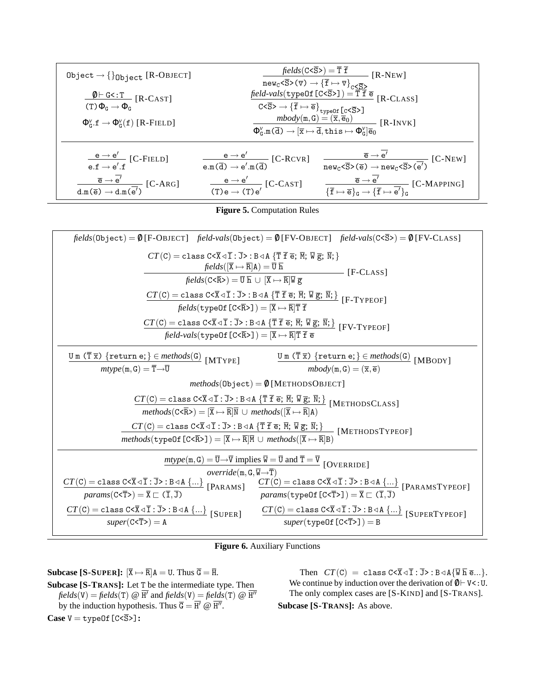| Object $\rightarrow \{\}_\text{Object}$ [R-OBJECT]                                        |                                                                                                                                                                                                                                                                                                                                                                                                                       |                                                                                                                                                                                       |  |
|-------------------------------------------------------------------------------------------|-----------------------------------------------------------------------------------------------------------------------------------------------------------------------------------------------------------------------------------------------------------------------------------------------------------------------------------------------------------------------------------------------------------------------|---------------------------------------------------------------------------------------------------------------------------------------------------------------------------------------|--|
| $\frac{\emptyset \vdash G < :T}{[R-CAST]}$<br>$(T)\Phi_{G}\rightarrow\Phi_{G}$            |                                                                                                                                                                                                                                                                                                                                                                                                                       |                                                                                                                                                                                       |  |
| $\Phi_{\alpha}^{\nu}$ $f \rightarrow \Phi_{\alpha}^{\nu}(f)$ [R-FIELD]                    | $\overline{C<\overline{S}> \rightarrow \{\overline{f} \mapsto \overline{e}\}\}^{type0f}}$ $\overline{C<\overline{S}>]}$<br>$\overline{m}body(m, G) = (\overline{x}, \overline{e}_0)$ [R-INVK]<br>$\overline{\Phi^{ \nu }_{ \alpha } }.\mathfrak{m}(\overline{\mathrm{d}}) \rightarrow [ \overline{x} \mapsto \overline{\mathrm{d}} , \mathrm{this} \mapsto \Phi^{ \nu }_{ \mathrm{G} } ] \overline{\mathrm{e}}_{ 0 }$ |                                                                                                                                                                                       |  |
| $\frac{e \rightarrow e'}{e.f \rightarrow e'.f}$ [C-FIELD]                                 | $\frac{e \rightarrow e'}{e.m(\overline{d}) \rightarrow e'.m(\overline{d})}$ [C-RCVR]                                                                                                                                                                                                                                                                                                                                  | $\frac{\overline{e} \to \overline{e'}}{\text{new}_c \langle \overline{S} \rangle (\overline{e}) \to \text{new}_c \langle \overline{S} \rangle (\overline{e'})} [C\text{-}\text{NEW}]$ |  |
| $\frac{\overline{e} \to \overline{e'}}{d.m(\overline{e}) \to d.m(\overline{e'})} [C-ARG]$ | $\frac{e \rightarrow e'}{(T)e \rightarrow (T)e'}$ [C-CAST]                                                                                                                                                                                                                                                                                                                                                            | $\frac{\overline{e} \to \overline{e'}}{\{\overline{f} \mapsto \overline{e}\}_G \to \{\overline{f} \mapsto \overline{e'}\}_G}$ [C-MAPPING]                                             |  |

**Figure 5.** Computation Rules

| $fields(\text{Object}) = \emptyset$ [F-OBJECT] $field\neg$ vals $(Object) = \emptyset$ [FV-OBJECT] $field\neg$ vals $(C \le S > 0) = \emptyset$ [FV-CLASS]                                                                                                                                                                                                                                                                                                                                       |  |  |  |  |  |
|--------------------------------------------------------------------------------------------------------------------------------------------------------------------------------------------------------------------------------------------------------------------------------------------------------------------------------------------------------------------------------------------------------------------------------------------------------------------------------------------------|--|--|--|--|--|
| $CT(C) = \text{class } C \le \overline{X} \le \overline{I} : \overline{J} > B \le A \{ \overline{T} \overline{T} \overline{e}; \overline{M}; \overline{W} \overline{g}; \overline{N}; \}$<br>$\mathit{fields}([\overline{X} \mapsto \overline{R}]A) = \overline{U} \, \overline{h}$<br>$\overline{\qquad}$ [F-CLASS]                                                                                                                                                                             |  |  |  |  |  |
| $fields(C<\overline{R}>)=\overline{U} \overline{h} \cup [\overline{X} \mapsto \overline{R}]\overline{W} \overline{g}$                                                                                                                                                                                                                                                                                                                                                                            |  |  |  |  |  |
| $CT(C) = \text{class } C \le \overline{X} \le \overline{I} : J > B \le A \text{ for } \overline{I} \neq \overline{e}; \overline{M}; \overline{W} \overline{g}; \overline{N};$ [F-TYPEOF]<br>fields (type Of $[C<\overline{R} >]$ ) = $[\overline{X} \mapsto \overline{R}]\overline{T}$ f                                                                                                                                                                                                         |  |  |  |  |  |
| $\frac{CT(C) = \texttt{class } C \leq \overline{x} \leq \overline{1} : \overline{J} >: B \leq A \{ \overline{T} \ \overline{f} \ \overline{e}; \ \overline{M}; \ \overline{W} \ \overline{g}; \ \overline{M}; \} }{\texttt{field-values(typeOf[C \leq \overline{R} > 1)} = [\overline{x} \mapsto \overline{R}] \overline{T} \ \overline{f} \ \overline{e}} \; [FV-TYPEOF]$                                                                                                                       |  |  |  |  |  |
| $\underline{\texttt{U m} (\overline{\texttt{T} \overline{\texttt{x}}}) } \{ \texttt{return e;} \} \in \textit{methods}(\texttt{G}) \\ \texttt{[MTYPE]}$<br>$\frac{\mathtt{U}\,\mathtt{m}\,\left(\overline{\mathtt{T}}\,\overline{\mathtt{x}}\right)\,\left\{\mathtt{return}\,\mathtt{e};\right\} \in methods(\mathtt{G})}{\mathit{mbody}(\mathtt{m},\mathtt{G}) = (\overline{\mathtt{x}},\overline{\mathtt{e}})}\,\left[\text{MBoDY}\right]$<br>$mtype(m,G)=\overline{T}\rightarrow\overline{U}$ |  |  |  |  |  |
| $methods(Object) = \emptyset$ [METHODSOBJECT]                                                                                                                                                                                                                                                                                                                                                                                                                                                    |  |  |  |  |  |
| $CT(C) = \text{class } C \le \overline{X} \le \overline{1} : J > B \le A \{ \overline{T} \ \overline{f} \ \overline{e}; \ \overline{M}; \ \overline{W} \ \overline{g}; \ \overline{N}; \}$ [METHODSCLASS]<br>$methods(C<\overline{R}>) = [\overline{X} \mapsto \overline{R}]\overline{N} \cup methods([\overline{X} \mapsto \overline{R}]A)$                                                                                                                                                     |  |  |  |  |  |
| $\frac{CT(C) = \text{class } C \le \overline{X} \le \overline{I} : \overline{J} > B \le A \{ \overline{T} \overline{T} \overline{e}; \overline{M}; \overline{W} \overline{g}; \overline{N}; \}}{methods(\text{typeOf } [C \le \overline{R} > I)) = [\overline{X} \mapsto \overline{R}]\overline{M} \cup methods([\overline{X} \mapsto \overline{R}]B)} [METHODSTYPEOF]$                                                                                                                          |  |  |  |  |  |
| $\mu \text{ntype}(\mathfrak{m}, \mathfrak{G}) = \overline{\mathfrak{V}} \rightarrow \overline{\mathfrak{V}}$ implies $\overline{\mathfrak{V}} = \overline{\mathfrak{V}}$ and $\overline{\mathfrak{T}} = \overline{\mathfrak{V}}$ [OVERRIDE]<br><i>override</i> ( $m, G, \overline{W} \rightarrow \overline{T}$ )                                                                                                                                                                                 |  |  |  |  |  |
| $CT(C) = \text{class } C \le \overline{X} \triangleleft \overline{I} : \overline{J} > B \triangleleft A \{ \ldots \}$ [PARAMS]<br>$\frac{CT(C) = \text{class } C < \overline{X} \lhd \overline{I} : \overline{J} > : B \lhd A \{\}}{params(\text{typeOf } [C \lhd \overline{T} > J]) = \overline{X} \sqsubset (\overline{I}, \overline{J})}$ [PARAMSTYPEOF]<br>$params(C < \overline{T} >) = \overline{X} \sqsubset (\overline{T}, \overline{J})$                                                |  |  |  |  |  |
| $CT(C) = \text{class } C \le \overline{X} \le \overline{1} : \overline{J} > B \le A \ \{\}$ [SUPER]<br>$CT(C) = \text{class } C \le \overline{X} \triangleleft \overline{I} : \overline{J} > B \triangleleft A \{\}$ [SUPERTYPEOF]<br>$super(C \overline{T} >) = Asuper(type0f[C<\overline{T}{}>]) = B$                                                                                                                                                                                          |  |  |  |  |  |

**Figure 6.** Auxiliary Functions

**Subcase [S-SUPER]:**  $[\overline{X} \mapsto \overline{R}]A = U$ . Thus  $\overline{G} = \overline{H}$ . **Subcase [S-TRANS]:** Let T be the intermediate type. Then  $fields(V) = fields(T) \ @ \ \overline{H'} \ and \ fields(V) = fields(T) \ @ \ \overline{H''}$ by the induction hypothesis. Thus  $\overline{G} = \overline{H'} \otimes \overline{H''}$ .  $Case V = typeOf[C  $\overline{S}$  >]:$ 

Then  $CT(C) = \text{class } C \le \overline{X} \le \overline{I} : \overline{J} > B \le A \{ \overline{W} \overline{h} \overline{e} ...\}.$ We continue by induction over the derivation of  $\emptyset \vdash V$  <: U. The only complex cases are [S-KIND] and [S-TRANS].

**Subcase [S-TRANS]:** As above.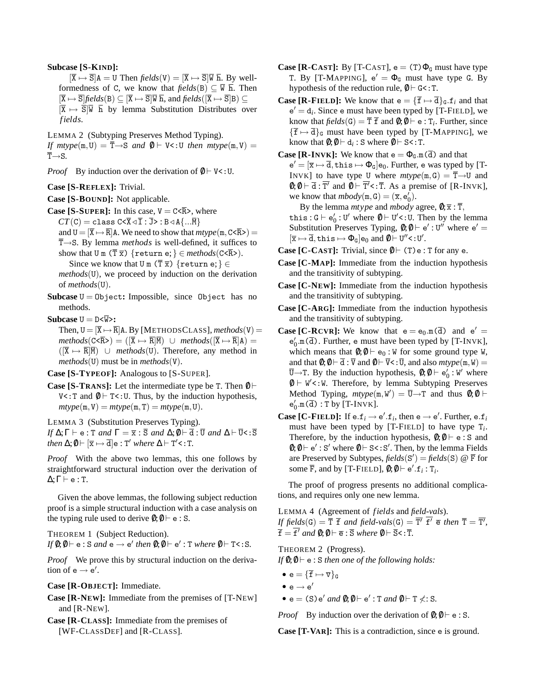#### **Subcase [S-KIND]:**

 $[\overline{X} \mapsto \overline{S}]$ A = U Then *fields*(V) =  $[\overline{X} \mapsto \overline{S}]\overline{W}$  h. By wellformedness of C, we know that  $\text{fields}(B) \subseteq \overline{W}$  h. Then  $[\overline{X} \mapsto \overline{S}]$ *fields*(B)  $\subseteq$   $[\overline{X} \mapsto \overline{S}]\overline{W}$ **h**, and *fields*( $[\overline{X} \mapsto \overline{S}]$ B)  $\subseteq$  $[\overline{X} \mapsto \overline{S}]\overline{W}$   $\overline{h}$  by lemma Substitution Distributes over *f ields*.

LEMMA 2 (Subtyping Preserves Method Typing).

*If mtype* $(m, U) = \overline{T} \rightarrow S$  *and*  $\emptyset \vdash V \le U$  *then mtype* $(m, V) =$  $\overline{T} \rightarrow S$ .

*Proof* By induction over the derivation of  $\emptyset \vdash V \leq U$ .

**Case [S-REFLEX]:** Trivial.

**Case [S-BOUND]:** Not applicable.

**Case [S-SUPER]:** In this case,  $V = C \langle \overline{R} \rangle$ , where  $CT(C) = \text{class } C \le \overline{X} \triangleleft \overline{I} : \overline{J} > B \triangleleft A \{ \dots \overline{M} \}$ and  $U = [\overline{X} \rightarrow \overline{R}]$  A. We need to show that  $mtype(m, C \leq \overline{R})$  =  $\overline{T} \rightarrow S$ . By lemma *methods* is well-defined, it suffices to

show that U m  $(\overline{T} \overline{x})$  {return e; }  $\in$  *methods*(C<R>).

Since we know that U m  $(\overline{T}\,\overline{x})$  {return e;}  $\in$ 

*methods*(U), we proceed by induction on the derivation of *methods*(U).

**Subcase**  $U = 0$ bject: Impossible, since  $0$ bject has no methods.

**Subcase**  $U = D \leq \overline{W}$ :

Then,  $U = [\overline{X} \rightarrow \overline{R}]A$ . By [METHODSCLASS], *methods*(V) =  $methods(C<\overline{R}>) = (\overline{X} \mapsto \overline{R}|\overline{M}) \cup methods(\overline{X} \mapsto \overline{R}|A) =$  $(|\overline{X} \mapsto \overline{R}|\overline{M}|)$  ∪ *methods*(U). Therefore, any method in *methods*(U) must be in *methods*(V).

**Case [S-TYPEOF]:** Analogous to [S-SUPER].

**Case [S-TRANS]:** Let the intermediate type be T. Then  $\emptyset \vdash$ V<: T and  $\emptyset \vdash T$  <: U. Thus, by the induction hypothesis,  $mtype(m, V) = mtype(m, T) = mtype(m, U).$ 

LEMMA 3 (Substitution Preserves Typing).

*If*  $\Delta; \Gamma \vdash e : T$  *and*  $\Gamma = \overline{x} : \overline{S}$  *and*  $\Delta; \emptyset \vdash \overline{d} : \overline{U}$  *and*  $\Delta \vdash \overline{U} < : \overline{S}$ *then*  $\Delta$ ; $\emptyset \vdash [\overline{x} \mapsto \overline{d}]$ e : T' *where*  $\Delta \vdash T'$ <: T.

*Proof* With the above two lemmas, this one follows by straightforward structural induction over the derivation of  $\Delta; \Gamma \vdash e : T$ .

Given the above lemmas, the following subject reduction proof is a simple structural induction with a case analysis on the typing rule used to derive  $\emptyset; \emptyset \vdash e : S$ .

THEOREM 1 (Subject Reduction).

 $If \emptyset; \emptyset \vdash e : S \text{ and } e \rightarrow e' \text{ then } \emptyset; \emptyset \vdash e' : T \text{ where } \emptyset \vdash T < : S.$ 

*Proof* We prove this by structural induction on the derivation of  $e \rightarrow e'$ .

**Case [R-OBJECT]:** Immediate.

- **Case [R-NEW]:** Immediate from the premises of [T-NEW] and [R-NEW].
- **Case [R-CLASS]:** Immediate from the premises of [WF-CLASSDEF] and [R-CLASS].
- **Case [R-CAST]:** By [T-CAST],  $e = (T)\Phi_G$  must have type T. By [T-MAPPING],  $e' = \Phi_G$  must have type G. By hypothesis of the reduction rule,  $\emptyset \vdash G \leq T$ .
- **Case [R-FIELD]:** We know that  $e = {\overline{f} \mapsto \overline{d}}_G. f_i$  and that  $e' = d_i$ . Since e must have been typed by [T-FIELD], we know that  $\text{fields}(\mathsf{G}) = \overline{\mathsf{T}} \, \overline{\mathsf{f}}$  and  $\emptyset; \emptyset \vdash \mathsf{e} : \mathsf{T}_i$ . Further, since  $\{\overline{f} \mapsto \overline{d}\}_G$  must have been typed by [T-MAPPING], we know that  $\emptyset; \emptyset \vdash d_i : S$  where  $\emptyset \vdash S \lt: T$ .
- **Case [R-INVK]:** We know that  $e = \Phi_{G} \cdot m(\overline{d})$  and that  $e' = [\overline{x} \mapsto \overline{d}, \text{this} \mapsto \Phi_{G}]e_0.$  Further, e was typed by [T-INVK] to have type U where  $mtype(m,G) = \overline{T} \rightarrow U$  and  $\emptyset$ ;  $\emptyset \vdash \overline{\mathbf{d}}$ :  $\overline{\mathbf{T}}'$  and  $\emptyset \vdash \overline{\mathbf{T}}'$  <:  $\overline{\mathbf{T}}$ . As a premise of [R-INVK], we know that  $mbody(m, G) = (\overline{x}, e'_0)$ .

By the lemma *mtype* and *mbody* agree,  $\mathbf{0}; \overline{\mathbf{x}} : \overline{\mathbf{T}}$ , this:  $G \vdash e'_0 : U'$  where  $\emptyset \vdash U' \lt : U$ . Then by the lemma Substitution Preserves Typing,  $\emptyset$ ;  $\emptyset \vdash e' : U''$  where  $e' =$  $[\overline{x} \mapsto \overline{d}, \mathtt{this} \mapsto \Phi_{\mathtt{G}}] \mathtt{e}_{0} \text{ and } \emptyset \vdash \mathtt{U}'' \mathtt{<:}\mathtt{U}'.$ 

- **Case [C-CAST]:** Trivial, since  $\emptyset \vdash (T)$  e : T for any e.
- **Case [C-MAP]:** Immediate from the induction hypothesis and the transitivity of subtyping.
- **Case [C-NEW]:** Immediate from the induction hypothesis and the transitivity of subtyping.
- **Case [C-ARG]:** Immediate from the induction hypothesis and the transitivity of subtyping.
- **Case [C-RCVR]:** We know that  $e = e_0.m(\overline{d})$  and  $e' =$  $e'_0$ .m( $\overline{d}$ ). Further, e must have been typed by [T-INVK], which means that  $\emptyset; \emptyset \vdash e_0 : W$  for some ground type W, and that  $\mathbf{0};\mathbf{0}\vdash \overline{\mathbf{d}}$ :  $\overline{\mathbf{V}}$  and  $\mathbf{0}\vdash \overline{\mathbf{V}}$  and also  $mtype(\mathbf{m},\mathbf{W})=$  $\overline{U} \rightarrow T$ . By the induction hypothesis,  $\emptyset$ ;  $\emptyset \vdash e'_0 : W'$  where  $0 \vdash W'$ <:W. Therefore, by lemma Subtyping Preserves Method Typing,  $mtype(m, W') = \overline{U} \rightarrow T$  and thus  $\emptyset; \emptyset \vdash$  $e'_0$ .m( $\overline{d}$ ): T by [T-INVK].
- **Case [C-FIELD]:** If  $e.f_i \rightarrow e'.f_i$ , then  $e \rightarrow e'.$  Further,  $e.f_i$ must have been typed by [T-FIELD] to have type T*<sup>i</sup>* . Therefore, by the induction hypothesis,  $0; 0 \vdash e : S$  and  $\emptyset$ ;  $\emptyset \vdash e'$ : S' where  $\emptyset \vdash S$ <: S'. Then, by the lemma Fields are Preserved by Subtypes,  $fields(S') = fields(S) \ @ \ \overline{F}$  for some  $\overline{F}$ , and by [T-FIELD],  $\emptyset$ ;  $\emptyset \vdash e'.f_i : T_i$ .

The proof of progress presents no additional complications, and requires only one new lemma.

LEMMA 4 (Agreement of *f ields* and *field-vals*). *If fields*(G) =  $\overline{T}$   $\overline{f}$  *and field-vals*(G) =  $\overline{T'}$   $\overline{f'}$   $\overline{e}$  *then*  $\overline{T}$  =  $\overline{T'}$ ,  $\overline{\mathbf{f}} = \overline{\mathbf{f}}'$  and  $\mathbf{0}; \mathbf{0} \vdash \overline{\mathbf{e}} : \overline{\mathbf{S}}$  where  $\mathbf{0} \vdash \overline{\mathbf{S}} \lt \mathbf{S} : \overline{\mathbf{T}}$ .

THEOREM 2 (Progress).

*If*  $\emptyset$ ; $\emptyset \vdash e$  : S *then one of the following holds*:

\n- $$
e = \{\overline{f} \mapsto \overline{v}\}_G
$$
\n- $e \mapsto e'$
\n

•  $e = (S) e'$  *and*  $\emptyset; \emptyset \vdash e' : T$  *and*  $\emptyset \vdash T \nless f : S$ .

*Proof* By induction over the derivation of  $\emptyset$ ;  $\emptyset \vdash e$  : S.

**Case [T-VAR]:** This is a contradiction, since e is ground.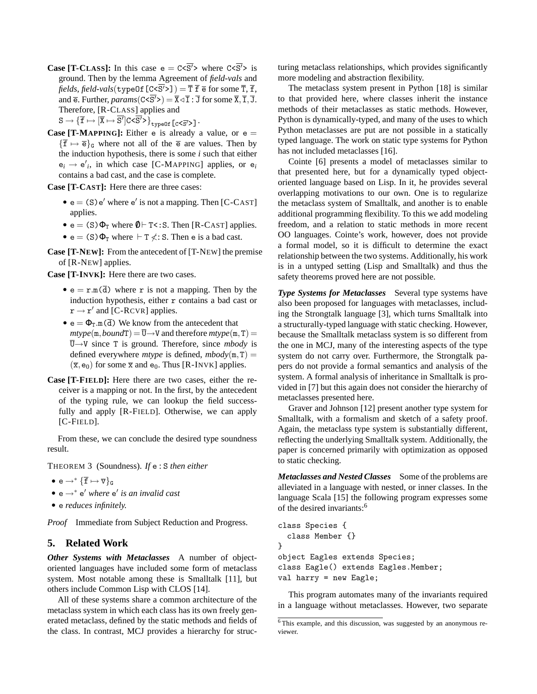**Case [T-CLASS]:** In this case  $e = C \langle \overline{S'} \rangle$  where  $C \langle \overline{S'} \rangle$  is ground. Then by the lemma Agreement of *field-vals* and  $\mathit{fields}, \mathit{field\text{-}vals}(\texttt{typeOf[C<}S' >]) = \overline{\mathtt{T}}\ \overline{\mathtt{f}}\ \overline{\mathtt{e}}\ \text{for some}\ \overline{\mathtt{T}},\ \overline{\mathtt{f}},$ and  $\overline{e}$ . Further, *params*( $C < \overline{S'}$ ) =  $\overline{X} \triangleleft \overline{I}$  :  $\overline{J}$  for some  $\overline{X}, \overline{I}, \overline{J}$ . Therefore, [R-CLASS] applies and

 $\texttt{S}\to \{\overline{\texttt{f}}\mapsto [\overline{\texttt{X}}\mapsto \overline{\texttt{S}'}]\texttt{C}\texttt{<}\overline{\texttt{S}'}\texttt{>} \big\}_{\texttt{typeOf}}\texttt{[c}\texttt{<}\overline{\texttt{S}'}\texttt{>} \} \,.$ 

**Case [T-MAPPING]:** Either e is already a value, or  $e =$  ${\{\overline{f} \mapsto \overline{e}\}}_G$  where not all of the  $\overline{e}$  are values. Then by the induction hypothesis, there is some *i* such that either  $e_i \rightarrow e'_i$ , in which case [C-MAPPING] applies, or  $e_i$ contains a bad cast, and the case is complete.

**Case [T-CAST]:** Here there are three cases:

- $\bullet$  e = (S) e' where e' is not a mapping. Then [C-CAST] applies.
- $e = (S) \Phi_T$  where  $\theta \vdash T \leq S$ . Then [R-CAST] applies.
- $e = (S) \Phi_T$  where  $\vdash T \nless L$ : S. Then e is a bad cast.

**Case [T-NEW]:** From the antecedent of [T-NEW] the premise of [R-NEW] applies.

**Case [T-INVK]:** Here there are two cases.

- $e = r.m(\overline{d})$  where r is not a mapping. Then by the induction hypothesis, either r contains a bad cast or  $\mathbf{r} \rightarrow \mathbf{r}'$  and [C-RCVR] applies.
- $e = \Phi_T \cdot m(\overline{d})$  We know from the antecedent that  $mtype(m, boundT) = \overline{U} \rightarrow V$  and therefore  $mtype(m, T) =$  $\overline{U} \rightarrow V$  since T is ground. Therefore, since *mbody* is defined everywhere *mtype* is defined,  $mbody(m, T) =$  $(\overline{x}, e_0)$  for some  $\overline{x}$  and  $e_0$ . Thus [R-INVK] applies.
- **Case [T-FIELD]:** Here there are two cases, either the receiver is a mapping or not. In the first, by the antecedent of the typing rule, we can lookup the field successfully and apply [R-FIELD]. Otherwise, we can apply [C-FIELD].

From these, we can conclude the desired type soundness result.

THEOREM 3 (Soundness). *If* e : S *then either*

- e  $\rightarrow^* {\{\overline{\mathbf{f}}} \mapsto \overline{\mathbf{v}}\}_\mathsf{G}$
- e →<sup>∗</sup> e <sup>0</sup> *where* e 0 *is an invalid cast*
- e *reduces infinitely.*

*Proof* Immediate from Subject Reduction and Progress.

#### **5. Related Work**

*Other Systems with Metaclasses* A number of objectoriented languages have included some form of metaclass system. Most notable among these is Smalltalk [11], but others include Common Lisp with CLOS [14].

All of these systems share a common architecture of the metaclass system in which each class has its own freely generated metaclass, defined by the static methods and fields of the class. In contrast, MCJ provides a hierarchy for structuring metaclass relationships, which provides significantly more modeling and abstraction flexibility.

The metaclass system present in Python [18] is similar to that provided here, where classes inherit the instance methods of their metaclasses as static methods. However, Python is dynamically-typed, and many of the uses to which Python metaclasses are put are not possible in a statically typed language. The work on static type systems for Python has not included metaclasses [16].

Cointe [6] presents a model of metaclasses similar to that presented here, but for a dynamically typed objectoriented language based on Lisp. In it, he provides several overlapping motivations to our own. One is to regularize the metaclass system of Smalltalk, and another is to enable additional programming flexibility. To this we add modeling freedom, and a relation to static methods in more recent OO languages. Cointe's work, however, does not provide a formal model, so it is difficult to determine the exact relationship between the two systems. Additionally, his work is in a untyped setting (Lisp and Smalltalk) and thus the safety theorems proved here are not possible.

*Type Systems for Metaclasses* Several type systems have also been proposed for languages with metaclasses, including the Strongtalk language [3], which turns Smalltalk into a structurally-typed language with static checking. However, because the Smalltalk metaclass system is so different from the one in MCJ, many of the interesting aspects of the type system do not carry over. Furthermore, the Strongtalk papers do not provide a formal semantics and analysis of the system. A formal analysis of inheritance in Smalltalk is provided in [7] but this again does not consider the hierarchy of metaclasses presented here.

Graver and Johnson [12] present another type system for Smalltalk, with a formalism and sketch of a safety proof. Again, the metaclass type system is substantially different, reflecting the underlying Smalltalk system. Additionally, the paper is concerned primarily with optimization as opposed to static checking.

*Metaclasses and Nested Classes* Some of the problems are alleviated in a language with nested, or inner classes. In the language Scala [15] the following program expresses some of the desired invariants:<sup>6</sup>

```
class Species {
  class Member {}
}
object Eagles extends Species;
class Eagle() extends Eagles.Member;
val harry = new Eagle;
```
This program automates many of the invariants required in a language without metaclasses. However, two separate

<sup>6</sup> This example, and this discussion, was suggested by an anonymous reviewer.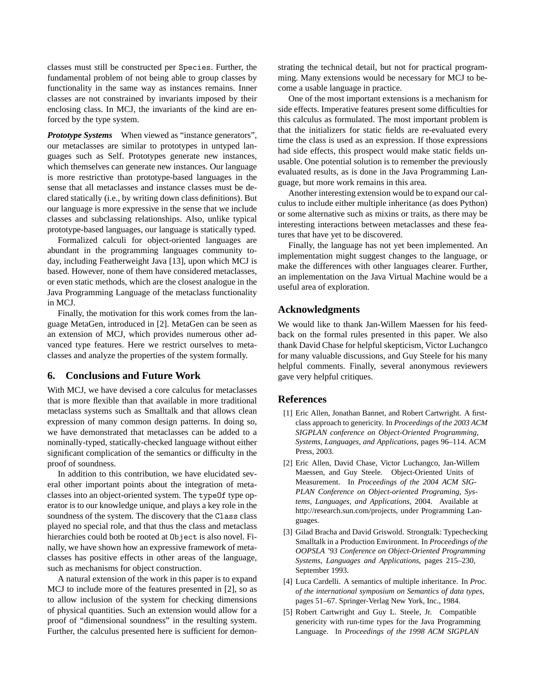classes must still be constructed per Species. Further, the fundamental problem of not being able to group classes by functionality in the same way as instances remains. Inner classes are not constrained by invariants imposed by their enclosing class. In MCJ, the invariants of the kind are enforced by the type system.

*Prototype Systems* When viewed as "instance generators", our metaclasses are similar to prototypes in untyped languages such as Self. Prototypes generate new instances, which themselves can generate new instances. Our language is more restrictive than prototype-based languages in the sense that all metaclasses and instance classes must be declared statically (i.e., by writing down class definitions). But our language is more expressive in the sense that we include classes and subclassing relationships. Also, unlike typical prototype-based languages, our language is statically typed.

Formalized calculi for object-oriented languages are abundant in the programming languages community today, including Featherweight Java [13], upon which MCJ is based. However, none of them have considered metaclasses, or even static methods, which are the closest analogue in the Java Programming Language of the metaclass functionality in MCJ.

Finally, the motivation for this work comes from the language MetaGen, introduced in [2]. MetaGen can be seen as an extension of MCJ, which provides numerous other advanced type features. Here we restrict ourselves to metaclasses and analyze the properties of the system formally.

# **6. Conclusions and Future Work**

With MCJ, we have devised a core calculus for metaclasses that is more flexible than that available in more traditional metaclass systems such as Smalltalk and that allows clean expression of many common design patterns. In doing so, we have demonstrated that metaclasses can be added to a nominally-typed, statically-checked language without either significant complication of the semantics or difficulty in the proof of soundness.

In addition to this contribution, we have elucidated several other important points about the integration of metaclasses into an object-oriented system. The typeOf type operator is to our knowledge unique, and plays a key role in the soundness of the system. The discovery that the Class class played no special role, and that thus the class and metaclass hierarchies could both be rooted at Object is also novel. Finally, we have shown how an expressive framework of metaclasses has positive effects in other areas of the language, such as mechanisms for object construction.

A natural extension of the work in this paper is to expand MCJ to include more of the features presented in [2], so as to allow inclusion of the system for checking dimensions of physical quantities. Such an extension would allow for a proof of "dimensional soundness" in the resulting system. Further, the calculus presented here is sufficient for demon-

strating the technical detail, but not for practical programming. Many extensions would be necessary for MCJ to become a usable language in practice.

One of the most important extensions is a mechanism for side effects. Imperative features present some difficulties for this calculus as formulated. The most important problem is that the initializers for static fields are re-evaluated every time the class is used as an expression. If those expressions had side effects, this prospect would make static fields unusable. One potential solution is to remember the previously evaluated results, as is done in the Java Programming Language, but more work remains in this area.

Another interesting extension would be to expand our calculus to include either multiple inheritance (as does Python) or some alternative such as mixins or traits, as there may be interesting interactions between metaclasses and these features that have yet to be discovered.

Finally, the language has not yet been implemented. An implementation might suggest changes to the language, or make the differences with other languages clearer. Further, an implementation on the Java Virtual Machine would be a useful area of exploration.

# **Acknowledgments**

We would like to thank Jan-Willem Maessen for his feedback on the formal rules presented in this paper. We also thank David Chase for helpful skepticism, Victor Luchangco for many valuable discussions, and Guy Steele for his many helpful comments. Finally, several anonymous reviewers gave very helpful critiques.

# **References**

- [1] Eric Allen, Jonathan Bannet, and Robert Cartwright. A firstclass approach to genericity. In *Proceedings of the 2003 ACM SIGPLAN conference on Object-Oriented Programming, Systems, Languages, and Applications*, pages 96–114. ACM Press, 2003.
- [2] Eric Allen, David Chase, Victor Luchangco, Jan-Willem Maessen, and Guy Steele. Object-Oriented Units of Measurement. In *Proceedings of the 2004 ACM SIG-PLAN Conference on Object-oriented Programing, Systems, Languages, and Applications*, 2004. Available at http://research.sun.com/projects, under Programming Languages.
- [3] Gilad Bracha and David Griswold. Strongtalk: Typechecking Smalltalk in a Production Environment. In *Proceedings of the OOPSLA '93 Conference on Object-Oriented Programming Systems, Languages and Applications*, pages 215–230, September 1993.
- [4] Luca Cardelli. A semantics of multiple inheritance. In *Proc. of the international symposium on Semantics of data types*, pages 51–67. Springer-Verlag New York, Inc., 1984.
- [5] Robert Cartwright and Guy L. Steele, Jr. Compatible genericity with run-time types for the Java Programming Language. In *Proceedings of the 1998 ACM SIGPLAN*